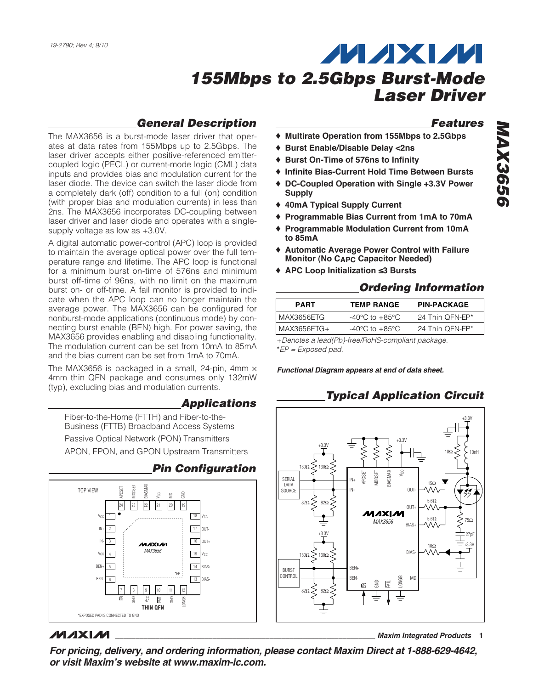### **General Description**

The MAX3656 is a burst-mode laser driver that operates at data rates from 155Mbps up to 2.5Gbps. The laser driver accepts either positive-referenced emittercoupled logic (PECL) or current-mode logic (CML) data inputs and provides bias and modulation current for the laser diode. The device can switch the laser diode from a completely dark (off) condition to a full (on) condition (with proper bias and modulation currents) in less than 2ns. The MAX3656 incorporates DC-coupling between laser driver and laser diode and operates with a singlesupply voltage as low as +3.0V.

A digital automatic power-control (APC) loop is provided to maintain the average optical power over the full temperature range and lifetime. The APC loop is functional for a minimum burst on-time of 576ns and minimum burst off-time of 96ns, with no limit on the maximum burst on- or off-time. A fail monitor is provided to indicate when the APC loop can no longer maintain the average power. The MAX3656 can be configured for nonburst-mode applications (continuous mode) by connecting burst enable (BEN) high. For power saving, the MAX3656 provides enabling and disabling functionality. The modulation current can be set from 10mA to 85mA and the bias current can be set from 1mA to 70mA.

The MAX3656 is packaged in a small, 24-pin, 4mm  $\times$ 4mm thin QFN package and consumes only 132mW (typ), excluding bias and modulation currents.

#### **Applications**

Fiber-to-the-Home (FTTH) and Fiber-to-the-Business (FTTB) Broadband Access Systems Passive Optical Network (PON) Transmitters APON, EPON, and GPON Upstream Transmitters



### **MAXM**

**Features**

- ♦ **Multirate Operation from 155Mbps to 2.5Gbps**
- ♦ **Burst Enable/Disable Delay <2ns**
- ♦ **Burst On-Time of 576ns to Infinity**
- ♦ **Infinite Bias-Current Hold Time Between Bursts**
- ♦ **DC-Coupled Operation with Single +3.3V Power Supply**
- ♦ **40mA Typical Supply Current**
- ♦ **Programmable Bias Current from 1mA to 70mA**
- ♦ **Programmable Modulation Current from 10mA to 85mA**
- ♦ **Automatic Average Power Control with Failure Monitor (No CAPC Capacitor Needed)**
- ♦ **APC Loop Initialization ≤3 Bursts**

#### **Ordering Information**

| <b>PART</b>  | <b>TEMP RANGE</b>                  | <b>PIN-PACKAGE</b> |
|--------------|------------------------------------|--------------------|
| l MAX3656ETG | $-40^{\circ}$ C to $+85^{\circ}$ C | 24 Thin OFN-EP*    |
| MAX3656ETG+  | $-40^{\circ}$ C to $+85^{\circ}$ C | 24 Thin OFN-EP*    |

+Denotes a lead(Pb)-free/RoHS-compliant package. \*EP = Exposed pad.

**Functional Diagram appears at end of data sheet.**

### **Typical Application Circuit**



**\_\_\_\_\_\_\_\_\_\_\_\_\_\_\_\_\_\_\_\_\_\_\_\_\_\_\_\_\_\_\_\_\_\_\_\_\_\_\_\_\_\_\_\_\_\_\_\_\_\_\_\_\_\_\_\_\_\_\_\_\_\_\_\_ Maxim Integrated Products 1**

**For pricing, delivery, and ordering information, please contact Maxim Direct at 1-888-629-4642, or visit Maxim's website at www.maxim-ic.com.**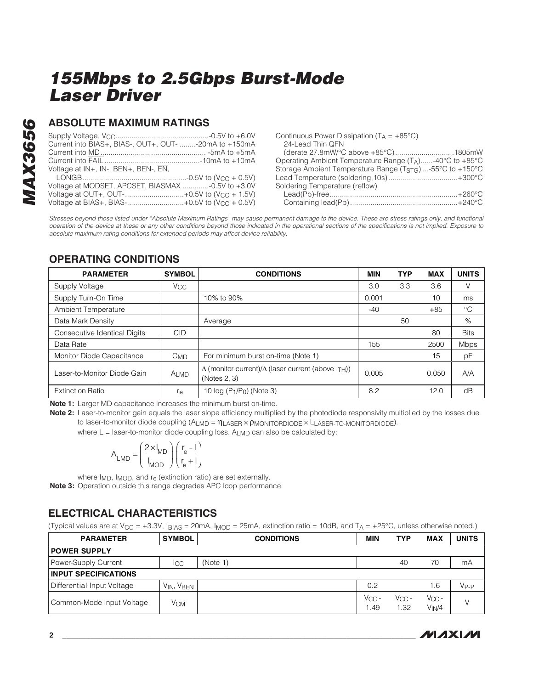# **MAX3656 MAX3656**

### **ABSOLUTE MAXIMUM RATINGS**

| Current into BIAS+, BIAS-, OUT+, OUT- -20mA to +150mA |  |
|-------------------------------------------------------|--|
|                                                       |  |
|                                                       |  |
| Voltage at IN+, IN-, BEN+, BEN-, EN,                  |  |
|                                                       |  |
| Voltage at MODSET, APCSET, BIASMAX -0.5V to +3.0V     |  |
| Voltage at OUT+, OUT-+0.5V to $(V_{CC} + 1.5V)$       |  |
| Voltage at BIAS+, BIAS-+0.5V to $(V_{CC} + 0.5V)$     |  |

| Continuous Power Dissipation $(T_A = +85^{\circ}C)$          |  |
|--------------------------------------------------------------|--|
| 24-Lead Thin QFN                                             |  |
|                                                              |  |
| Operating Ambient Temperature Range (TA)-40°C to +85°C       |  |
| Storage Ambient Temperature Range ( $TSTG$ ) -55°C to +150°C |  |
|                                                              |  |
| Soldering Temperature (reflow)                               |  |
|                                                              |  |
|                                                              |  |

Stresses beyond those listed under "Absolute Maximum Ratings" may cause permanent damage to the device. These are stress ratings only, and functional operation of the device at these or any other conditions beyond those indicated in the operational sections of the specifications is not implied. Exposure to absolute maximum rating conditions for extended periods may affect device reliability.

### **OPERATING CONDITIONS**

| <b>PARAMETER</b>             | <b>SYMBOL</b>         | <b>CONDITIONS</b>                                                                      | <b>MIN</b> | <b>TYP</b> | <b>MAX</b> | <b>UNITS</b> |
|------------------------------|-----------------------|----------------------------------------------------------------------------------------|------------|------------|------------|--------------|
| Supply Voltage               | <b>V<sub>CC</sub></b> |                                                                                        | 3.0        | 3.3        | 3.6        | V            |
| Supply Turn-On Time          |                       | 10% to 90%                                                                             | 0.001      |            | 10         | ms           |
| Ambient Temperature          |                       |                                                                                        | $-40$      |            | $+85$      | $^{\circ}C$  |
| Data Mark Density            |                       | Average                                                                                |            | 50         |            | %            |
| Consecutive Identical Digits | <b>CID</b>            |                                                                                        |            |            | 80         | <b>Bits</b>  |
| Data Rate                    |                       |                                                                                        | 155        |            | 2500       | <b>Mbps</b>  |
| Monitor Diode Capacitance    | $C_{MD}$              | For minimum burst on-time (Note 1)                                                     |            |            | 15         | pF           |
| Laser-to-Monitor Diode Gain  | <b>ALMD</b>           | $\Delta$ (monitor current)/ $\Delta$ (laser current (above $I_{TH}$ ))<br>(Notes 2, 3) | 0.005      |            | 0.050      | A/A          |
| <b>Extinction Ratio</b>      | re                    | 10 $log(P_1/P_0)$ (Note 3)                                                             | 8.2        |            | 12.0       | dB           |

**Note 1:** Larger MD capacitance increases the minimum burst on-time.

**Note 2:** Laser-to-monitor gain equals the laser slope efficiency multiplied by the photodiode responsivity multiplied by the losses due to laser-to-monitor diode coupling (ALMD = ηLASER × PMONITORDIODE × LLASER-TO-MONITORDIODE).

where  $L =$  laser-to-monitor diode coupling loss. A<sub>LMD</sub> can also be calculated by:

$$
A_{\text{LMD}} = \left(\frac{2 \times I_{\text{MD}}}{I_{\text{MOD}}}\right) \left(\frac{r_{\text{e}} - I}{r_{\text{e}} + I}\right)
$$

where I<sub>MD</sub>, I<sub>MOD</sub>, and r<sub>e</sub> (extinction ratio) are set externally. **Note 3:** Operation outside this range degrades APC loop performance.

### **ELECTRICAL CHARACTERISTICS**

(Typical values are at  $V_{\text{CC}} = +3.3V$ ,  $I_{\text{BIAS}} = 20 \text{mA}$ ,  $I_{\text{MOD}} = 25 \text{mA}$ , extinction ratio = 10dB, and  $T_A = +25^{\circ}\text{C}$ , unless otherwise noted.)

| <b>PARAMETER</b>            | <b>SYMBOL</b> | <b>CONDITIONS</b> | <b>MIN</b>         | <b>TYP</b>    | <b>MAX</b>                       | <b>UNITS</b>     |
|-----------------------------|---------------|-------------------|--------------------|---------------|----------------------------------|------------------|
| <b>POWER SUPPLY</b>         |               |                   |                    |               |                                  |                  |
| Power-Supply Current        | ICC           | (Note 1)          |                    | 40            | 70                               | mA               |
| <b>INPUT SPECIFICATIONS</b> |               |                   |                    |               |                                  |                  |
| Differential Input Voltage  | VIN, VBEN     |                   | 0.2                |               | 1.6                              | V <sub>P-P</sub> |
| Common-Mode Input Voltage   | Усм           |                   | $V_{CC}$ -<br>1.49 | Vcc -<br>1.32 | $V_{CC}$ -<br>V <sub>IN</sub> /4 | $\vee$           |

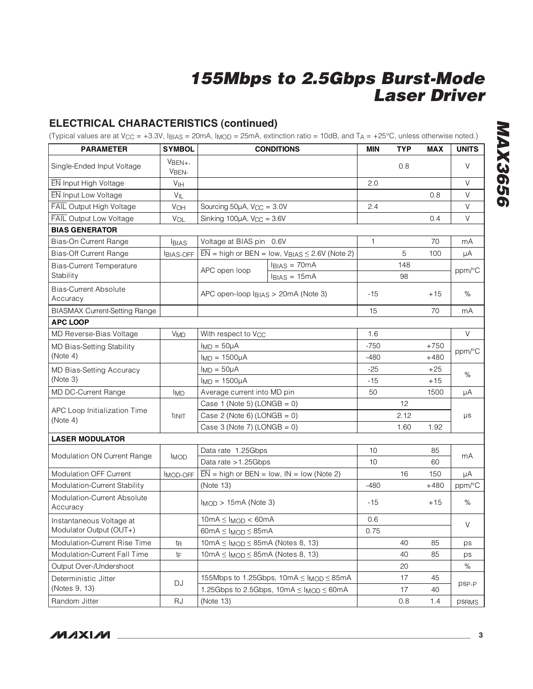### **ELECTRICAL CHARACTERISTICS (continued)**

(Typical values are at V<sub>CC</sub> = +3.3V,  $I_{BIAS}$  = 20mA,  $I_{MOD}$  = 25mA, extinction ratio = 10dB, and T<sub>A</sub> = +25°C, unless otherwise noted.)

| <b>PARAMETER</b>                         | <b>SYMBOL</b>         |                                             | <b>CONDITIONS</b>                                                        | MIN          | <b>TYP</b> | <b>MAX</b> | <b>UNITS</b>         |
|------------------------------------------|-----------------------|---------------------------------------------|--------------------------------------------------------------------------|--------------|------------|------------|----------------------|
| Single-Ended Input Voltage               | $VBEN+$<br>VBEN-      |                                             |                                                                          |              | 0.8        |            | V                    |
| EN Input High Voltage                    | V <sub>IH</sub>       |                                             |                                                                          | 2.0          |            |            | V                    |
| EN Input Low Voltage                     | $V_{IL}$              |                                             |                                                                          |              |            | 0.8        | V                    |
| <b>FAIL Output High Voltage</b>          | V <sub>OH</sub>       | Sourcing $50\mu$ A, $V_{CC} = 3.0V$         |                                                                          | 2.4          |            |            | V                    |
| <b>FAIL Output Low Voltage</b>           | VOL                   | Sinking $100\mu$ A, $V_{CC} = 3.6V$         |                                                                          |              |            | 0.4        | V                    |
| <b>BIAS GENERATOR</b>                    |                       |                                             |                                                                          |              |            |            |                      |
| Bias-On Current Range                    | <b>BIAS</b>           | Voltage at BIAS pin 0.6V                    |                                                                          | $\mathbf{1}$ |            | 70         | mA                   |
| <b>Bias-Off Current Range</b>            | <b>BIAS-OFF</b>       |                                             | $\overline{EN}$ = high or BEN = low, $V_{\text{BIAS}} \le 2.6V$ (Note 2) |              | 5          | 100        | μA                   |
| <b>Bias-Current Temperature</b>          |                       |                                             | $IBIAS = 70mA$                                                           |              | 148        |            |                      |
| Stability                                |                       | APC open loop                               | $IBIAS = 15mA$                                                           |              | 98         |            | $ppm$ <sup>o</sup> C |
| <b>Bias-Current Absolute</b><br>Accuracy |                       | APC open-loop IBIAS > 20mA (Note 3)         |                                                                          | -15          |            | +15        | %                    |
| <b>BIASMAX Current-Setting Range</b>     |                       |                                             |                                                                          | 15           |            | 70         | mA                   |
| <b>APC LOOP</b>                          |                       |                                             |                                                                          |              |            |            |                      |
| MD Reverse-Bias Voltage                  | <b>V<sub>MD</sub></b> | With respect to V <sub>CC</sub>             |                                                                          |              |            |            | $\vee$               |
| MD Bias-Setting Stability                |                       | $ImD = 50\mu A$                             |                                                                          | $-750$       |            | $+750$     |                      |
| (Note 4)                                 |                       | $I_{MD} = 1500 \mu A$                       |                                                                          |              |            | $+480$     | ppm/°C               |
| MD Bias-Setting Accuracy                 |                       | $ImD = 50\mu A$                             |                                                                          | $-25$        |            | $+25$      | %                    |
| (Note 3)                                 |                       | $I_{MD} = 1500\mu A$                        |                                                                          | $-15$        |            | $+15$      |                      |
| MD DC-Current Range                      | <b>IMD</b>            | Average current into MD pin                 |                                                                          | 50           |            | 1500       | μA                   |
|                                          |                       |                                             | Case 1 (Note 5) (LONGB = $0$ )                                           |              | 12         |            |                      |
| APC Loop Initialization Time<br>(Note 4) | <sup>t</sup> INIT     | Case 2 (Note 6) (LONGB = $0$ )              |                                                                          |              | 2.12       |            | μs                   |
|                                          |                       | Case 3 (Note 7) (LONGB = $0$ )              |                                                                          |              | 1.60       | 1.92       |                      |
| <b>LASER MODULATOR</b>                   |                       |                                             |                                                                          |              |            |            |                      |
|                                          |                       | Data rate 1.25Gbps                          |                                                                          | 10           |            | 85         | mA                   |
| Modulation ON Current Range              | <b>IMOD</b>           | Data rate > 1.25Gbps                        |                                                                          | 10           |            | 60         |                      |
| Modulation OFF Current                   | <b>IMOD-OFF</b>       |                                             | $\overline{EN}$ = high or BEN = low, IN = low (Note 2)                   |              | 16         | 150        | μA                   |
| Modulation-Current Stability             |                       | (Note 13)                                   |                                                                          | $-480$       |            | $+480$     | ppm/°C               |
| Modulation-Current Absolute<br>Accuracy  |                       |                                             | $I_{MOD}$ > 15mA (Note 3)                                                |              |            | $+15$      | $\%$                 |
| Instantaneous Voltage at                 |                       | $10mA \leq I_{MOD} < 60mA$                  |                                                                          | 0.6          |            |            |                      |
| Modulator Output (OUT+)                  |                       | $60mA \leq I_{MOD} \leq 85mA$               |                                                                          | 0.75         |            |            | $\vee$               |
| <b>Modulation-Current Rise Time</b>      | tŖ                    | $10mA \leq I_{MOD} \leq 85mA$ (Notes 8, 13) |                                                                          |              | 40         | 85         | ps                   |
| Modulation-Current Fall Time             | tF                    | $10mA \leq I_{MOD} \leq 85mA$ (Notes 8, 13) |                                                                          |              | 40         | 85         | ps                   |
| Output Over-/Undershoot                  |                       |                                             |                                                                          |              | 20         |            | $\%$                 |
| Deterministic Jitter                     | DJ                    |                                             | 155Mbps to 1.25Gbps, $10mA \leq I_{MOD} \leq 85mA$                       |              | 17         | 45         |                      |
| (Notes 9, 13)                            |                       |                                             | 1.25Gbps to 2.5Gbps, $10mA \leq MOD \leq 60mA$                           |              | 17         | 40         | psp <sub>-P</sub>    |
| Random Jitter                            | RJ                    | (Note 13)                                   |                                                                          |              | 0.8        | 1.4        | psrms                |

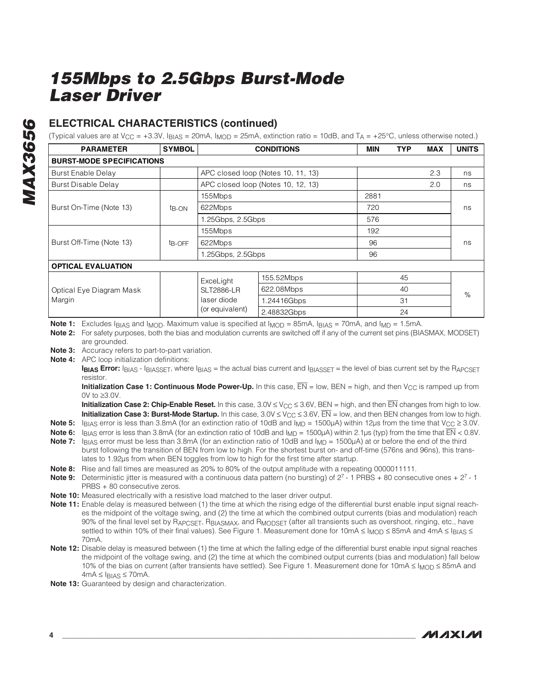### **ELECTRICAL CHARACTERISTICS (continued)**

(Typical values are at  $V_{\text{CC}} = +3.3V$ ,  $I_{\text{BIAS}} = 20 \text{mA}$ ,  $I_{\text{MOD}} = 25 \text{mA}$ , extinction ratio = 10dB, and  $T_A = +25^{\circ}\text{C}$ , unless otherwise noted.)

| <b>PARAMETER</b>                 | <b>SYMBOL</b>      | <b>CONDITIONS</b> | MIN                                | <b>TYP</b> | <b>MAX</b> | <b>UNITS</b> |      |
|----------------------------------|--------------------|-------------------|------------------------------------|------------|------------|--------------|------|
| <b>BURST-MODE SPECIFICATIONS</b> |                    |                   |                                    |            |            |              |      |
| Burst Enable Delay               |                    |                   | APC closed loop (Notes 10, 11, 13) |            |            | 2.3          | ns   |
| <b>Burst Disable Delay</b>       |                    |                   | APC closed loop (Notes 10, 12, 13) |            |            | 2.0          | ns   |
|                                  |                    | 155Mbps           |                                    | 2881       |            |              |      |
| Burst On-Time (Note 13)          | $t_{\rm B-ON}$     | 622Mbps           |                                    | 720        |            |              | ns   |
|                                  |                    | 1.25Gbps, 2.5Gbps |                                    | 576        |            |              |      |
|                                  |                    | 155Mbps           |                                    | 192        |            |              |      |
| Burst Off-Time (Note 13)         | t <sub>B-OFF</sub> | 622Mbps           |                                    | 96         |            |              | ns   |
|                                  |                    | 1.25Gbps, 2.5Gbps |                                    | 96         |            |              |      |
| <b>OPTICAL EVALUATION</b>        |                    |                   |                                    |            |            |              |      |
|                                  |                    | ExceLight         | 155.52Mbps                         |            | 45         |              |      |
| Optical Eye Diagram Mask         |                    | <b>SLT2886-LR</b> | 622.08Mbps                         |            | 40         |              | $\%$ |
| Margin                           |                    | laser diode       | 1.24416Gbps                        |            | 31         |              |      |
|                                  |                    | (or equivalent)   | 2.48832Gbps                        |            | 24         |              |      |

**Note 1:** Excludes I<sub>BIAS</sub> and I<sub>MOD</sub>. Maximum value is specified at I<sub>MOD</sub> = 85mA, I<sub>BIAS</sub> = 70mA, and I<sub>MD</sub> = 1.5mA.

**Note 2:** For safety purposes, both the bias and modulation currents are switched off if any of the current set pins (BIASMAX, MODSET) are grounded.

**Note 3:** Accuracy refers to part-to-part variation.

**Note 4:** APC loop initialization definitions:

**IBIAS Error:** IBIAS - IBIASSET, where IBIAS = the actual bias current and IBIASSET = the level of bias current set by the RAPCSET resistor.

**Initialization Case 1: Continuous Mode Power-Up.** In this case,  $\overline{EN}$  = low, BEN = high, and then V<sub>CC</sub> is ramped up from 0V to ≥3.0V.

**Initialization Case 2: Chip-Enable Reset.** In this case, 3.0V ≤ V<sub>CC</sub> ≤ 3.6V, BEN = high, and then EN changes from high to low. **Initialization Case 3: Burst-Mode Startup.** In this case,  $3.0V \le V_{CC} \le 3.6V$ ,  $\overline{EN} =$  low, and then BEN changes from low to high.

**Note 5:** I<sub>BIAS</sub> error is less than 3.8mA (for an extinction ratio of 10dB and I<sub>MD</sub> = 1500µA) within 12µs from the time that V<sub>CC</sub>  $\geq$  3.0V.

**Note 6:** I<sub>BIAS</sub> error is less than 3.8mA (for an extinction ratio of 10dB and I<sub>MD</sub> = 1500µA) within 2.1µs (typ) from the time that  $\overline{EN}$  < 0.8V.

**Note 7:** I<sub>BIAS</sub> error must be less than 3.8mA (for an extinction ratio of 10dB and I<sub>MD</sub> = 1500µA) at or before the end of the third burst following the transition of BEN from low to high. For the shortest burst on- and off-time (576ns and 96ns), this translates to 1.92µs from when BEN toggles from low to high for the first time after startup.

**Note 8:** Rise and fall times are measured as 20% to 80% of the output amplitude with a repeating 0000011111.

- **Note 9:** Deterministic jitter is measured with a continuous data pattern (no bursting) of 27 1 PRBS + 80 consecutive ones + 27 1 PRBS + 80 consecutive zeros.
- **Note 10:** Measured electrically with a resistive load matched to the laser driver output.
- **Note 11:** Enable delay is measured between (1) the time at which the rising edge of the differential burst enable input signal reaches the midpoint of the voltage swing, and (2) the time at which the combined output currents (bias and modulation) reach 90% of the final level set by RAPCSET, RBIASMAX, and RMODSET (after all transients such as overshoot, ringing, etc., have settled to within 10% of their final values). See Figure 1. Measurement done for 10mA ≤ I<sub>MOD</sub> ≤ 85mA and 4mA ≤ I<sub>BIAS</sub> ≤ 70mA.
- **Note 12:** Disable delay is measured between (1) the time at which the falling edge of the differential burst enable input signal reaches the midpoint of the voltage swing, and (2) the time at which the combined output currents (bias and modulation) fall below 10% of the bias on current (after transients have settled). See Figure 1. Measurement done for 10mA ≤ I<sub>MOD</sub> ≤ 85mA and  $4mA \leq I_{BIAS} \leq 70mA$ .
- **Note 13:** Guaranteed by design and characterization.

**MAX3656**

**MAX3656**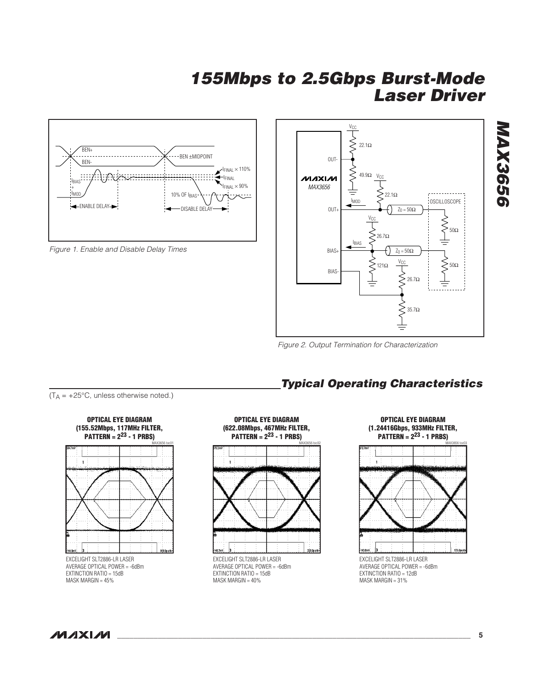

Figure 1. Enable and Disable Delay Times



Figure 2. Output Termination for Characterization

**Typical Operating Characteristics**







**OPTICAL EYE DIAGRAM (622.08Mbps, 467MHz FILTER, PATTERN = 223 - 1 PRBS)**MAX3656 toc02

EXCELIGHT SLT2886-LR LASER AVERAGE OPTICAL POWER = -6dBm EXTINCTION RATIO = 15dB MASK MARGIN = 40%



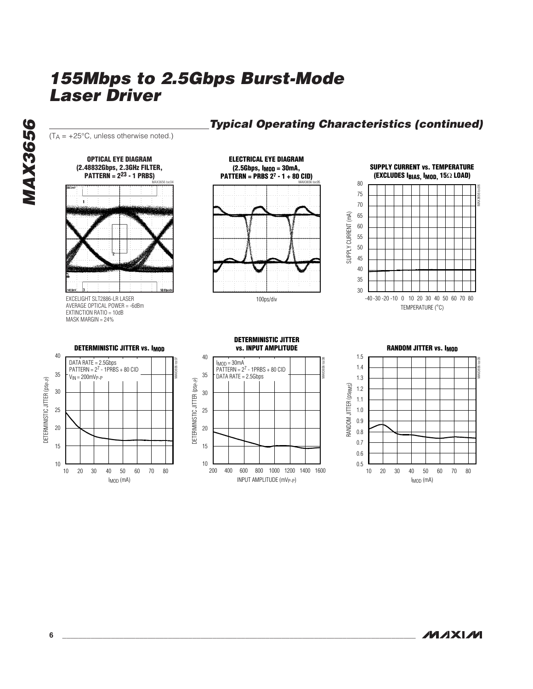

### **Typical Operating Characteristics (continued)**

**MAXIM** 

**MAX3656**

**MAX3656**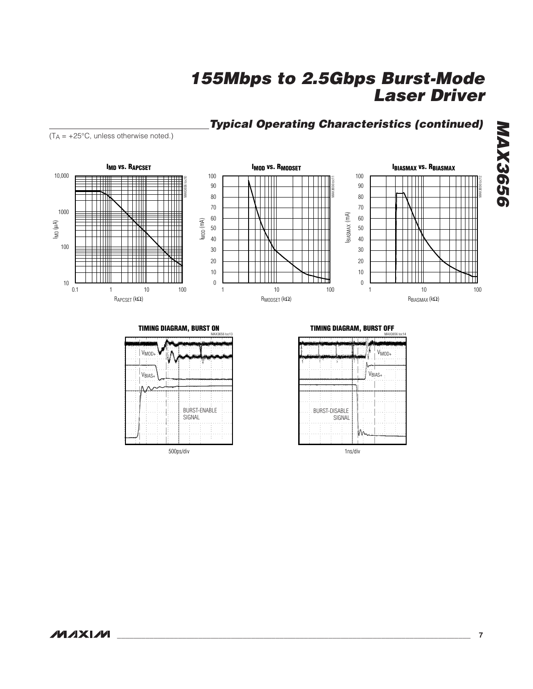## **Typical Operating Characteristics (continued)**

 $(T_A = +25^{\circ}C$ , unless otherwise noted.)



**TIMING DIAGRAM, BURST ON**



**TIMING DIAGRAM, BURST OFF**

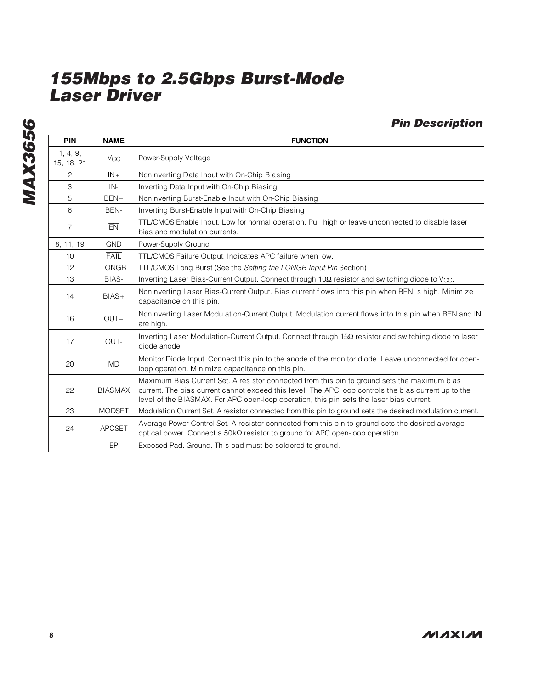**MAX3656 MAX3656**

|                 |                       | <b>Pin Description</b>                       |
|-----------------|-----------------------|----------------------------------------------|
| PIN             | <b>NAME</b>           | <b>FUNCTION</b>                              |
| 4, 9,<br>18, 21 | <b>V<sub>CC</sub></b> | Power-Supply Voltage                         |
| 2               | $IN +$                | Noninverting Data Input with On-Chip Biasing |
|                 |                       |                                              |

| 1, 4, 9,<br>15, 18, 21 | $V_{CC}$       | Power-Supply Voltage                                                                                                                                                                                                                                                                             |
|------------------------|----------------|--------------------------------------------------------------------------------------------------------------------------------------------------------------------------------------------------------------------------------------------------------------------------------------------------|
| $\overline{c}$         | $IN +$         | Noninverting Data Input with On-Chip Biasing                                                                                                                                                                                                                                                     |
| 3                      | $IN-$          | Inverting Data Input with On-Chip Biasing                                                                                                                                                                                                                                                        |
| 5                      | BEN+           | Noninverting Burst-Enable Input with On-Chip Biasing                                                                                                                                                                                                                                             |
| 6                      | BEN-           | Inverting Burst-Enable Input with On-Chip Biasing                                                                                                                                                                                                                                                |
| $\overline{7}$         | EN             | TTL/CMOS Enable Input. Low for normal operation. Pull high or leave unconnected to disable laser<br>bias and modulation currents.                                                                                                                                                                |
| 8, 11, 19              | <b>GND</b>     | Power-Supply Ground                                                                                                                                                                                                                                                                              |
| 10                     | <b>FAIL</b>    | TTL/CMOS Failure Output. Indicates APC failure when low.                                                                                                                                                                                                                                         |
| 12                     | <b>LONGB</b>   | TTL/CMOS Long Burst (See the Setting the LONGB Input Pin Section)                                                                                                                                                                                                                                |
| 13                     | BIAS-          | Inverting Laser Bias-Current Output. Connect through 10Ω resistor and switching diode to V <sub>CC</sub> .                                                                                                                                                                                       |
| 14                     | BIAS+          | Noninverting Laser Bias-Current Output. Bias current flows into this pin when BEN is high. Minimize<br>capacitance on this pin.                                                                                                                                                                  |
| 16                     | $OUT+$         | Noninverting Laser Modulation-Current Output. Modulation current flows into this pin when BEN and IN<br>are high.                                                                                                                                                                                |
| 17                     | OUT-           | Inverting Laser Modulation-Current Output. Connect through $15\Omega$ resistor and switching diode to laser<br>diode anode.                                                                                                                                                                      |
| 20                     | <b>MD</b>      | Monitor Diode Input. Connect this pin to the anode of the monitor diode. Leave unconnected for open-<br>loop operation. Minimize capacitance on this pin.                                                                                                                                        |
| 22                     | <b>BIASMAX</b> | Maximum Bias Current Set. A resistor connected from this pin to ground sets the maximum bias<br>current. The bias current cannot exceed this level. The APC loop controls the bias current up to the<br>level of the BIASMAX. For APC open-loop operation, this pin sets the laser bias current. |
| 23                     | <b>MODSET</b>  | Modulation Current Set. A resistor connected from this pin to ground sets the desired modulation current.                                                                                                                                                                                        |
| 24                     | <b>APCSET</b>  | Average Power Control Set. A resistor connected from this pin to ground sets the desired average<br>optical power. Connect a $50k\Omega$ resistor to ground for APC open-loop operation.                                                                                                         |
|                        | EP             | Exposed Pad. Ground. This pad must be soldered to ground.                                                                                                                                                                                                                                        |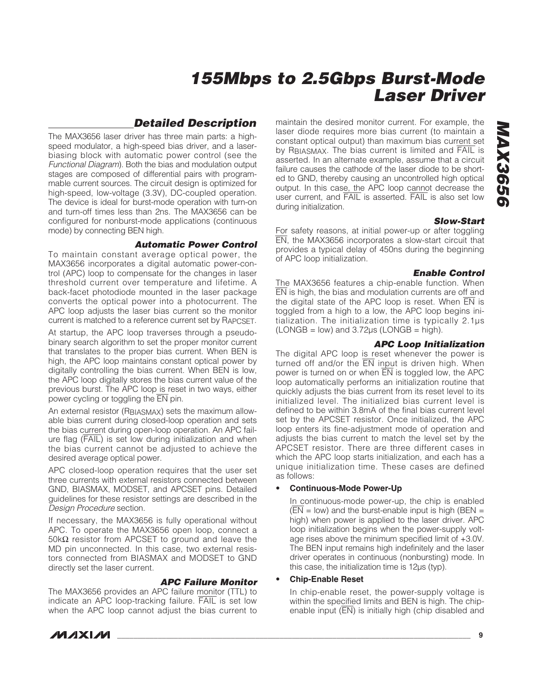### **Detailed Description**

The MAX3656 laser driver has three main parts: a highspeed modulator, a high-speed bias driver, and a laserbiasing block with automatic power control (see the Functional Diagram). Both the bias and modulation output stages are composed of differential pairs with programmable current sources. The circuit design is optimized for high-speed, low-voltage (3.3V), DC-coupled operation. The device is ideal for burst-mode operation with turn-on and turn-off times less than 2ns. The MAX3656 can be configured for nonburst-mode applications (continuous mode) by connecting BEN high.

#### **Automatic Power Control**

To maintain constant average optical power, the MAX3656 incorporates a digital automatic power-control (APC) loop to compensate for the changes in laser threshold current over temperature and lifetime. A back-facet photodiode mounted in the laser package converts the optical power into a photocurrent. The APC loop adjusts the laser bias current so the monitor current is matched to a reference current set by RAPCSET.

At startup, the APC loop traverses through a pseudobinary search algorithm to set the proper monitor current that translates to the proper bias current. When BEN is high, the APC loop maintains constant optical power by digitally controlling the bias current. When BEN is low, the APC loop digitally stores the bias current value of the previous burst. The APC loop is reset in two ways, either power cycling or toggling the EN pin.

An external resistor (RBIASMAX) sets the maximum allowable bias current during closed-loop operation and sets the bias current during open-loop operation. An APC failure flag (FAIL) is set low during initialization and when the bias current cannot be adjusted to achieve the desired average optical power.

APC closed-loop operation requires that the user set three currents with external resistors connected between GND, BIASMAX, MODSET, and APCSET pins. Detailed guidelines for these resistor settings are described in the Design Procedure section.

If necessary, the MAX3656 is fully operational without APC. To operate the MAX3656 open loop, connect a 50kΩ resistor from APCSET to ground and leave the MD pin unconnected. In this case, two external resistors connected from BIASMAX and MODSET to GND directly set the laser current.

#### **APC Failure Monitor**

The MAX3656 provides an APC failure monitor (TTL) to indicate an APC loop-tracking failure. FAIL is set low when the APC loop cannot adjust the bias current to

maintain the desired monitor current. For example, the laser diode requires more bias current (to maintain a constant optical output) than maximum bias current set by RBIASMAX. The bias current is limited and FAIL is asserted. In an alternate example, assume that a circuit failure causes the cathode of the laser diode to be shorted to GND, thereby causing an uncontrolled high optical output. In this case, the APC loop cannot decrease the user current, and FAIL is asserted. FAIL is also set low during initialization.

#### **Slow-Start**

For safety reasons, at initial power-up or after toggling EN, the MAX3656 incorporates a slow-start circuit that provides a typical delay of 450ns during the beginning of APC loop initialization.

#### **Enable Control**

The MAX3656 features a chip-enable function. When EN is high, the bias and modulation currents are off and the digital state of the APC loop is reset. When  $\overline{EN}$  is toggled from a high to a low, the APC loop begins initialization. The initialization time is typically 2.1µs  $(LONGB = low)$  and  $3.72 \mu s$  (LONGB = high).

#### **APC Loop Initialization**

The digital APC loop is reset whenever the power is turned off and/or the  $\overline{EN}$  input is driven high. When power is turned on or when  $\overline{EN}$  is toggled low, the APC loop automatically performs an initialization routine that quickly adjusts the bias current from its reset level to its initialized level. The initialized bias current level is defined to be within 3.8mA of the final bias current level set by the APCSET resistor. Once initialized, the APC loop enters its fine-adjustment mode of operation and adjusts the bias current to match the level set by the APCSET resistor. There are three different cases in which the APC loop starts initialization, and each has a unique initialization time. These cases are defined as follows:

#### • **Continuous-Mode Power-Up**

In continuous-mode power-up, the chip is enabled  $(\overline{EN} = low)$  and the burst-enable input is high (BEN = high) when power is applied to the laser driver. APC loop initialization begins when the power-supply voltage rises above the minimum specified limit of +3.0V. The BEN input remains high indefinitely and the laser driver operates in continuous (nonbursting) mode. In this case, the initialization time is 12µs (typ).

#### • **Chip-Enable Reset**

In chip-enable reset, the power-supply voltage is within the specified limits and BEN is high. The chipenable input (EN) is initially high (chip disabled and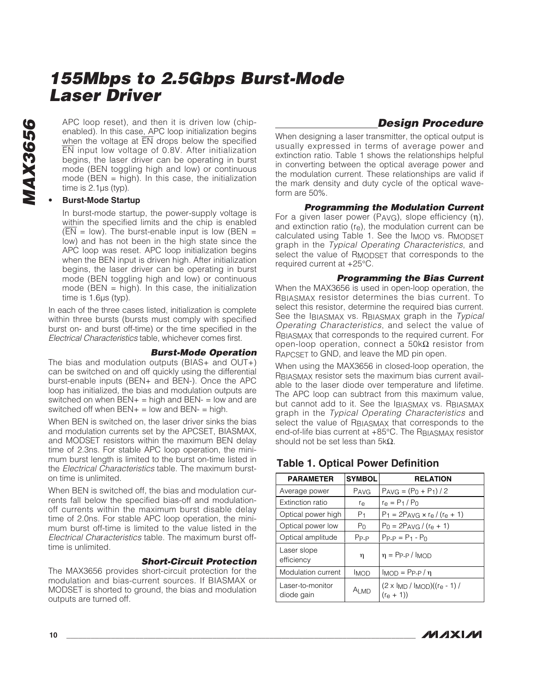APC loop reset), and then it is driven low (chipenabled). In this case, APC loop initialization begins when the voltage at  $\overline{EN}$  drops below the specified EN input low voltage of 0.8V. After initialization begins, the laser driver can be operating in burst mode (BEN toggling high and low) or continuous mode (BEN  $=$  high). In this case, the initialization time is 2.1µs (typ).

#### • **Burst-Mode Startup**

In burst-mode startup, the power-supply voltage is within the specified limits and the chip is enabled  $(EN = low)$ . The burst-enable input is low (BEN = low) and has not been in the high state since the APC loop was reset. APC loop initialization begins when the BEN input is driven high. After initialization begins, the laser driver can be operating in burst mode (BEN toggling high and low) or continuous mode (BEN  $=$  high). In this case, the initialization time is 1.6µs (typ).

In each of the three cases listed, initialization is complete within three bursts (bursts must comply with specified burst on- and burst off-time) or the time specified in the Electrical Characteristics table, whichever comes first.

#### **Burst-Mode Operation**

The bias and modulation outputs (BIAS+ and OUT+) can be switched on and off quickly using the differential burst-enable inputs (BEN+ and BEN-). Once the APC loop has initialized, the bias and modulation outputs are switched on when  $BEN<sub>+</sub>$  = high and  $BEN<sub>-</sub>$  = low and are switched off when  $BEN<sub>+</sub> = low$  and  $BEN<sub>-</sub> = high$ .

When BEN is switched on, the laser driver sinks the bias and modulation currents set by the APCSET, BIASMAX, and MODSET resistors within the maximum BEN delay time of 2.3ns. For stable APC loop operation, the minimum burst length is limited to the burst on-time listed in the Electrical Characteristics table. The maximum burston time is unlimited.

When BEN is switched off, the bias and modulation currents fall below the specified bias-off and modulationoff currents within the maximum burst disable delay time of 2.0ns. For stable APC loop operation, the minimum burst off-time is limited to the value listed in the Electrical Characteristics table. The maximum burst offtime is unlimited.

#### **Short-Circuit Protection**

The MAX3656 provides short-circuit protection for the modulation and bias-current sources. If BIASMAX or MODSET is shorted to ground, the bias and modulation outputs are turned off.

### **Design Procedure**

When designing a laser transmitter, the optical output is usually expressed in terms of average power and extinction ratio. Table 1 shows the relationships helpful in converting between the optical average power and the modulation current. These relationships are valid if the mark density and duty cycle of the optical waveform are 50%.

#### **Programming the Modulation Current**

For a given laser power (PAVG), slope efficiency (η), and extinction ratio  $(r<sub>e</sub>)$ , the modulation current can be calculated using Table 1. See the I<sub>MOD</sub> vs. R<sub>MODSET</sub> graph in the Typical Operating Characteristics, and select the value of RMODSET that corresponds to the required current at +25°C.

#### **Programming the Bias Current**

When the MAX3656 is used in open-loop operation, the RBIASMAX resistor determines the bias current. To select this resistor, determine the required bias current. See the IBIASMAX vs. RBIASMAX graph in the Typical Operating Characteristics, and select the value of RBIASMAX that corresponds to the required current. For open-loop operation, connect a 50kΩ resistor from RAPCSET to GND, and leave the MD pin open.

When using the MAX3656 in closed-loop operation, the RBIASMAX resistor sets the maximum bias current available to the laser diode over temperature and lifetime. The APC loop can subtract from this maximum value, but cannot add to it. See the IBIASMAX VS. RBIASMAX graph in the Typical Operating Characteristics and select the value of RBIASMAX that corresponds to the end-of-life bias current at +85°C. The RBIASMAX resistor should not be set less than 5k $\Omega$ .

# **PARAMETER SYMBOL RELATION** Average power  $\vert$  P<sub>AVG</sub>  $\vert$  P<sub>AVG</sub> =  $(P_0 + P_1)/2$

**Table 1. Optical Power Definition**

| Average power                  | <b>PAVG</b>    | $PAVG = (P_0 + P_1)/2$                                                |
|--------------------------------|----------------|-----------------------------------------------------------------------|
| Extinction ratio               | r <sub>e</sub> | $r_{\rm e} = P_1 / P_0$                                               |
| Optical power high             | P <sub>1</sub> | $P_1 = 2P_{AVG} \times r_e / (r_e + 1)$                               |
| Optical power low              | P <sub>0</sub> | $P_0 = 2P_{AVG} / (r_e + 1)$                                          |
| Optical amplitude              | $P_{P-P}$      | $P_{P-P} = P_1 - P_0$                                                 |
| Laser slope<br>efficiency      | η              | $\eta$ = Pp-p / $I_{MOD}$                                             |
| Modulation current             | <b>IMOD</b>    | $I_{MOD} = P_{P-P}/n$                                                 |
| Laser-to-monitor<br>diode gain | A∟md           | $(2 \times I_{MD} / I_{MOD})$ $((r_e - 1) / I_{MD})$<br>$(r_{e} + 1)$ |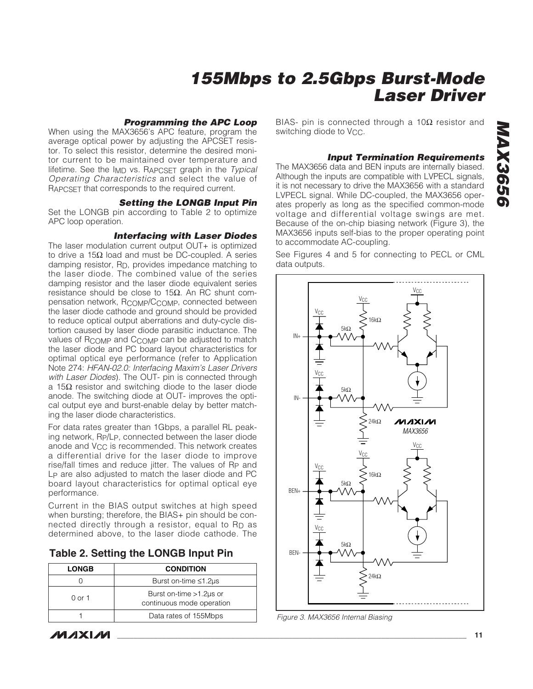#### **Programming the APC Loop**

When using the MAX3656's APC feature, program the average optical power by adjusting the APCSET resistor. To select this resistor, determine the desired monitor current to be maintained over temperature and lifetime. See the  $I_{MD}$  vs. RAPCSFT graph in the Typical Operating Characteristics and select the value of RAPCSET that corresponds to the required current.

#### **Setting the LONGB Input Pin**

Set the LONGB pin according to Table 2 to optimize APC loop operation.

#### **Interfacing with Laser Diodes**

The laser modulation current output OUT+ is optimized to drive a 15Ω load and must be DC-coupled. A series damping resistor, RD, provides impedance matching to the laser diode. The combined value of the series damping resistor and the laser diode equivalent series resistance should be close to 15Ω. An RC shunt compensation network, RCOMP/CCOMP, connected between the laser diode cathode and ground should be provided to reduce optical output aberrations and duty-cycle distortion caused by laser diode parasitic inductance. The values of R<sub>COMP</sub> and C<sub>COMP</sub> can be adjusted to match the laser diode and PC board layout characteristics for optimal optical eye performance (refer to Application Note 274: HFAN-02.0: Interfacing Maxim's Laser Drivers with Laser Diodes). The OUT- pin is connected through a 15Ω resistor and switching diode to the laser diode anode. The switching diode at OUT- improves the optical output eye and burst-enable delay by better matching the laser diode characteristics.

For data rates greater than 1Gbps, a parallel RL peaking network, RP/LP, connected between the laser diode anode and  $V_{CC}$  is recommended. This network creates a differential drive for the laser diode to improve rise/fall times and reduce jitter. The values of Rp and LP are also adjusted to match the laser diode and PC board layout characteristics for optimal optical eye performance.

Current in the BIAS output switches at high speed when bursting; therefore, the BIAS+ pin should be connected directly through a resistor, equal to R<sub>D</sub> as determined above, to the laser diode cathode. The

|  | Table 2. Setting the LONGB Input Pin |  |  |  |  |
|--|--------------------------------------|--|--|--|--|
|--|--------------------------------------|--|--|--|--|

| <b>LONGB</b>                | <b>CONDITION</b>                                        |  |  |
|-----------------------------|---------------------------------------------------------|--|--|
| Burst on-time $\leq 1.2$ us |                                                         |  |  |
| 0 or 1                      | Burst on-time $>1.2$ us or<br>continuous mode operation |  |  |
|                             | Data rates of 155Mbps                                   |  |  |

**MAXIM** 

BIAS- pin is connected through a  $10Ω$  resistor and switching diode to V<sub>CC</sub>.

#### **Input Termination Requirements**

The MAX3656 data and BEN inputs are internally biased. Although the inputs are compatible with LVPECL signals, it is not necessary to drive the MAX3656 with a standard LVPECL signal. While DC-coupled, the MAX3656 operates properly as long as the specified common-mode voltage and differential voltage swings are met. Because of the on-chip biasing network (Figure 3), the MAX3656 inputs self-bias to the proper operating point to accommodate AC-coupling.

See Figures 4 and 5 for connecting to PECL or CML data outputs.



Figure 3. MAX3656 Internal Biasing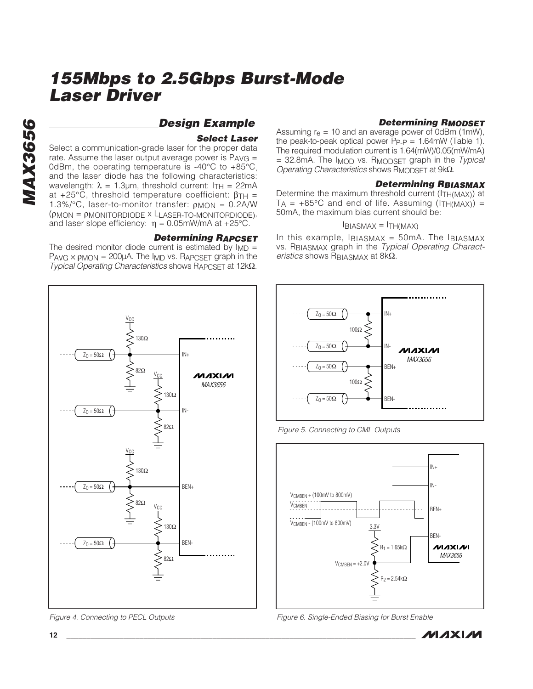### **Design Example**

#### **Select Laser**

Select a communication-grade laser for the proper data rate. Assume the laser output average power is  $P_{AVG} =$ 0dBm, the operating temperature is -40°C to +85°C, and the laser diode has the following characteristics: wavelength:  $\lambda = 1.3 \mu m$ , threshold current: ITH = 22mA at  $+25^{\circ}$ C, threshold temperature coefficient:  $\beta_{TH}$  = 1.3%/°C, laser-to-monitor transfer:  $\rho_{MON} = 0.2$ A/W (ρMON = ρMONITORDIODE x LLASER-TO-MONITORDIODE), and laser slope efficiency:  $\eta = 0.05$ mW/mA at +25°C.

#### **Determining RAPCSET**

The desired monitor diode current is estimated by  $Im =$  $P_{AVG} \times p_{MON} = 200 \mu A$ . The  $I_{MD}$  vs. R<sub>APCSET</sub> graph in the Typical Operating Characteristics shows RAPCSET at 12kΩ.



Figure 4. Connecting to PECL Outputs

#### **Determining RMODSET**

Assuming  $r_e = 10$  and an average power of 0dBm (1mW), the peak-to-peak optical power PP-P = 1.64mW (Table 1). The required modulation current is 1.64(mW)/0.05(mW/mA)  $= 32.8$ mA. The I<sub>MOD</sub> vs. R<sub>MODSET</sub> graph in the Typical Operating Characteristics shows RMODSET at 9kΩ.

#### **Determining RBIASMAX**

Determine the maximum threshold current (ITH(MAX)) at  $T_A$  = +85°C and end of life. Assuming ( $ITH(MAX)$ ) = 50mA, the maximum bias current should be:

#### $I<sub>BIASMAX</sub> = I<sub>TH(MAX)</sub>$

In this example,  $I_{BIASMAX}$  = 50mA. The  $I_{BIASMAX}$ vs. RBIASMAX graph in the Typical Operating Characteristics shows RBIASMAX at  $8k\Omega$ .



Figure 5. Connecting to CML Outputs



Figure 6. Single-Ended Biasing for Burst Enable

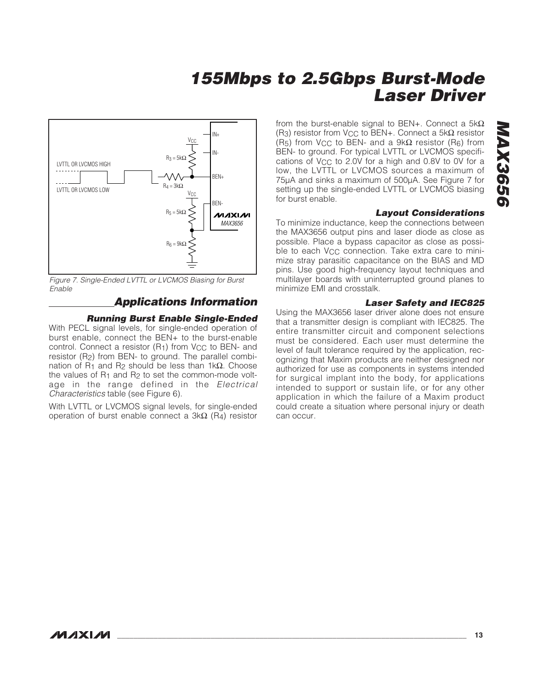

Figure 7. Single-Ended LVTTL or LVCMOS Biasing for Burst Enable

### **Applications Information**

#### **Running Burst Enable Single-Ended**

With PECL signal levels, for single-ended operation of burst enable, connect the BEN+ to the burst-enable control. Connect a resistor  $(R<sub>1</sub>)$  from  $V<sub>CC</sub>$  to BEN- and resistor (R2) from BEN- to ground. The parallel combination of R<sub>1</sub> and R<sub>2</sub> should be less than 1kΩ. Choose the values of  $R_1$  and  $R_2$  to set the common-mode voltage in the range defined in the Electrical Characteristics table (see Figure 6).

With LVTTL or LVCMOS signal levels, for single-ended operation of burst enable connect a 3kΩ (R4) resistor

from the burst-enable signal to BEN+. Connect a  $5k\Omega$ (R<sub>3</sub>) resistor from V<sub>CC</sub> to BEN+. Connect a 5k $\Omega$  resistor (R<sub>5</sub>) from V<sub>CC</sub> to BEN- and a 9k $\Omega$  resistor (R<sub>6</sub>) from BEN- to ground. For typical LVTTL or LVCMOS specifications of V<sub>CC</sub> to 2.0V for a high and 0.8V to 0V for a low, the LVTTL or LVCMOS sources a maximum of 75µA and sinks a maximum of 500µA. See Figure 7 for setting up the single-ended LVTTL or LVCMOS biasing for burst enable.

#### **Layout Considerations**

To minimize inductance, keep the connections between the MAX3656 output pins and laser diode as close as possible. Place a bypass capacitor as close as possible to each V<sub>CC</sub> connection. Take extra care to minimize stray parasitic capacitance on the BIAS and MD pins. Use good high-frequency layout techniques and multilayer boards with uninterrupted ground planes to minimize EMI and crosstalk.

#### **Laser Safety and IEC825**

Using the MAX3656 laser driver alone does not ensure that a transmitter design is compliant with IEC825. The entire transmitter circuit and component selections must be considered. Each user must determine the level of fault tolerance required by the application, recognizing that Maxim products are neither designed nor authorized for use as components in systems intended for surgical implant into the body, for applications intended to support or sustain life, or for any other application in which the failure of a Maxim product could create a situation where personal injury or death can occur.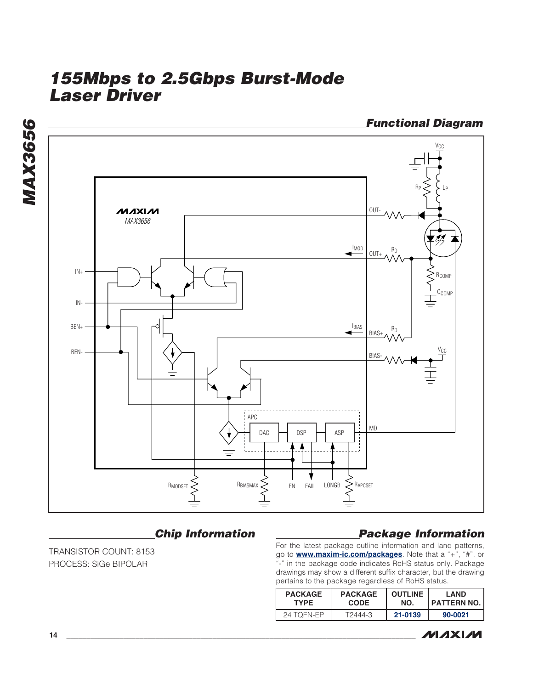

### **Chip Information**

TRANSISTOR COUNT: 8153 PROCESS: SiGe BIPOLAR

### **Package Information**

For the latest package outline information and land patterns, go to **www.maxim-ic.com/packages**. Note that a "+", "#", or "-" in the package code indicates RoHS status only. Package drawings may show a different suffix character, but the drawing pertains to the package regardless of RoHS status.

| <b>PACKAGE</b> | <b>PACKAGE</b> | <b>OUTLINE</b> | <b>LAND</b>   |
|----------------|----------------|----------------|---------------|
| <b>TYPE</b>    | <b>CODE</b>    | NO.            | ' PATTERN NO. |
| 24 TOFN-FP     | T2444-3        | 21-0139        | 90-0021       |